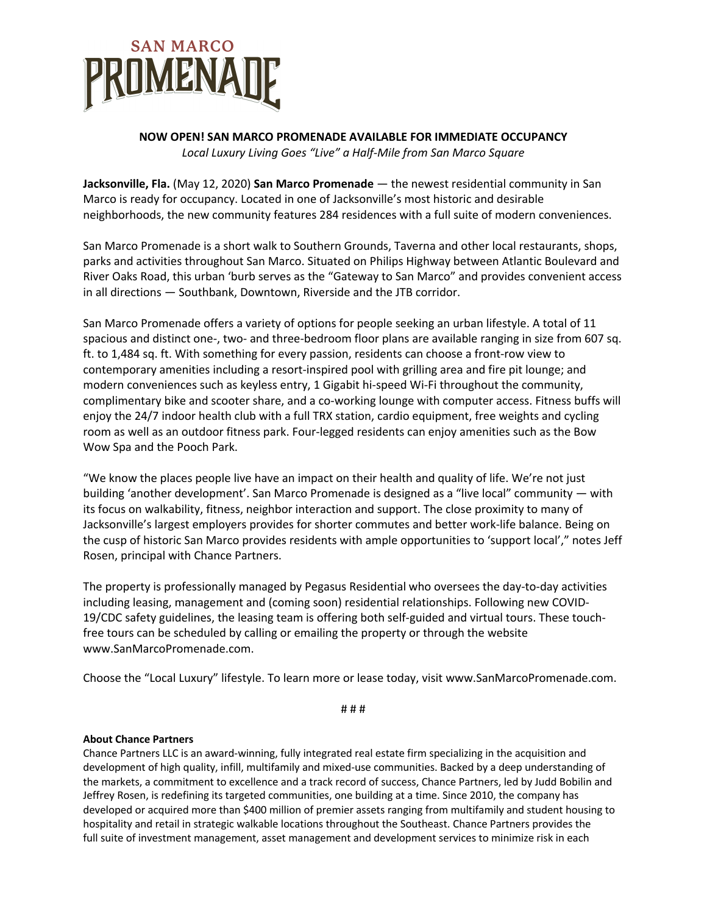

## **NOW OPEN! SAN MARCO PROMENADE AVAILABLE FOR IMMEDIATE OCCUPANCY** *Local Luxury Living Goes "Live" a Half-Mile from San Marco Square*

**Jacksonville, Fla.** (May 12, 2020) **San Marco Promenade** — the newest residential community in San Marco is ready for occupancy. Located in one of Jacksonville's most historic and desirable neighborhoods, the new community features 284 residences with a full suite of modern conveniences.

San Marco Promenade is a short walk to Southern Grounds, Taverna and other local restaurants, shops, parks and activities throughout San Marco. Situated on Philips Highway between Atlantic Boulevard and River Oaks Road, this urban 'burb serves as the "Gateway to San Marco" and provides convenient access in all directions — Southbank, Downtown, Riverside and the JTB corridor.

San Marco Promenade offers a variety of options for people seeking an urban lifestyle. A total of 11 spacious and distinct one-, two- and three-bedroom floor plans are available ranging in size from 607 sq. ft. to 1,484 sq. ft. With something for every passion, residents can choose a front-row view to contemporary amenities including a resort-inspired pool with grilling area and fire pit lounge; and modern conveniences such as keyless entry, 1 Gigabit hi-speed Wi-Fi throughout the community, complimentary bike and scooter share, and a co-working lounge with computer access. Fitness buffs will enjoy the 24/7 indoor health club with a full TRX station, cardio equipment, free weights and cycling room as well as an outdoor fitness park. Four-legged residents can enjoy amenities such as the Bow Wow Spa and the Pooch Park.

"We know the places people live have an impact on their health and quality of life. We're not just building 'another development'. San Marco Promenade is designed as a "live local" community — with its focus on walkability, fitness, neighbor interaction and support. The close proximity to many of Jacksonville's largest employers provides for shorter commutes and better work-life balance. Being on the cusp of historic San Marco provides residents with ample opportunities to 'support local'," notes Jeff Rosen, principal with Chance Partners.

The property is professionally managed by Pegasus Residential who oversees the day-to-day activities including leasing, management and (coming soon) residential relationships. Following new COVID-19/CDC safety guidelines, the leasing team is offering both self-guided and virtual tours. These touchfree tours can be scheduled by calling or emailing the property or through the website www.SanMarcoPromenade.com.

Choose the "Local Luxury" lifestyle. To learn more or lease today, visit www.SanMarcoPromenade.com.

# # #

## **About Chance Partners**

Chance Partners LLC is an award-winning, fully integrated real estate firm specializing in the acquisition and development of high quality, infill, multifamily and mixed-use communities. Backed by a deep understanding of the markets, a commitment to excellence and a track record of success, Chance Partners, led by Judd Bobilin and Jeffrey Rosen, is redefining its targeted communities, one building at a time. Since 2010, the company has developed or acquired more than \$400 million of premier assets ranging from multifamily and student housing to hospitality and retail in strategic walkable locations throughout the Southeast. Chance Partners provides the full suite of investment management, asset management and development services to minimize risk in each